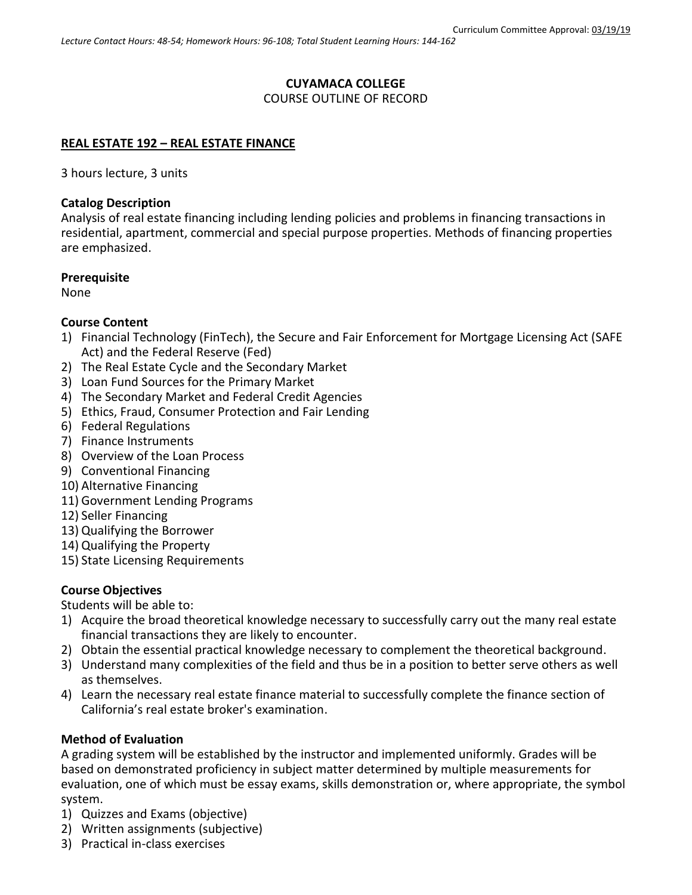# **CUYAMACA COLLEGE**

## COURSE OUTLINE OF RECORD

## **REAL ESTATE 192 – REAL ESTATE FINANCE**

3 hours lecture, 3 units

## **Catalog Description**

Analysis of real estate financing including lending policies and problems in financing transactions in residential, apartment, commercial and special purpose properties. Methods of financing properties are emphasized.

## **Prerequisite**

None

## **Course Content**

- 1) Financial Technology (FinTech), the Secure and Fair Enforcement for Mortgage Licensing Act (SAFE Act) and the Federal Reserve (Fed)
- 2) The Real Estate Cycle and the Secondary Market
- 3) Loan Fund Sources for the Primary Market
- 4) The Secondary Market and Federal Credit Agencies
- 5) Ethics, Fraud, Consumer Protection and Fair Lending
- 6) Federal Regulations
- 7) Finance Instruments
- 8) Overview of the Loan Process
- 9) Conventional Financing
- 10) Alternative Financing
- 11) Government Lending Programs
- 12) Seller Financing
- 13) Qualifying the Borrower
- 14) Qualifying the Property
- 15) State Licensing Requirements

# **Course Objectives**

Students will be able to:

- 1) Acquire the broad theoretical knowledge necessary to successfully carry out the many real estate financial transactions they are likely to encounter.
- 2) Obtain the essential practical knowledge necessary to complement the theoretical background.
- 3) Understand many complexities of the field and thus be in a position to better serve others as well as themselves.
- 4) Learn the necessary real estate finance material to successfully complete the finance section of California's real estate broker's examination.

# **Method of Evaluation**

A grading system will be established by the instructor and implemented uniformly. Grades will be based on demonstrated proficiency in subject matter determined by multiple measurements for evaluation, one of which must be essay exams, skills demonstration or, where appropriate, the symbol system.

- 1) Quizzes and Exams (objective)
- 2) Written assignments (subjective)
- 3) Practical in-class exercises